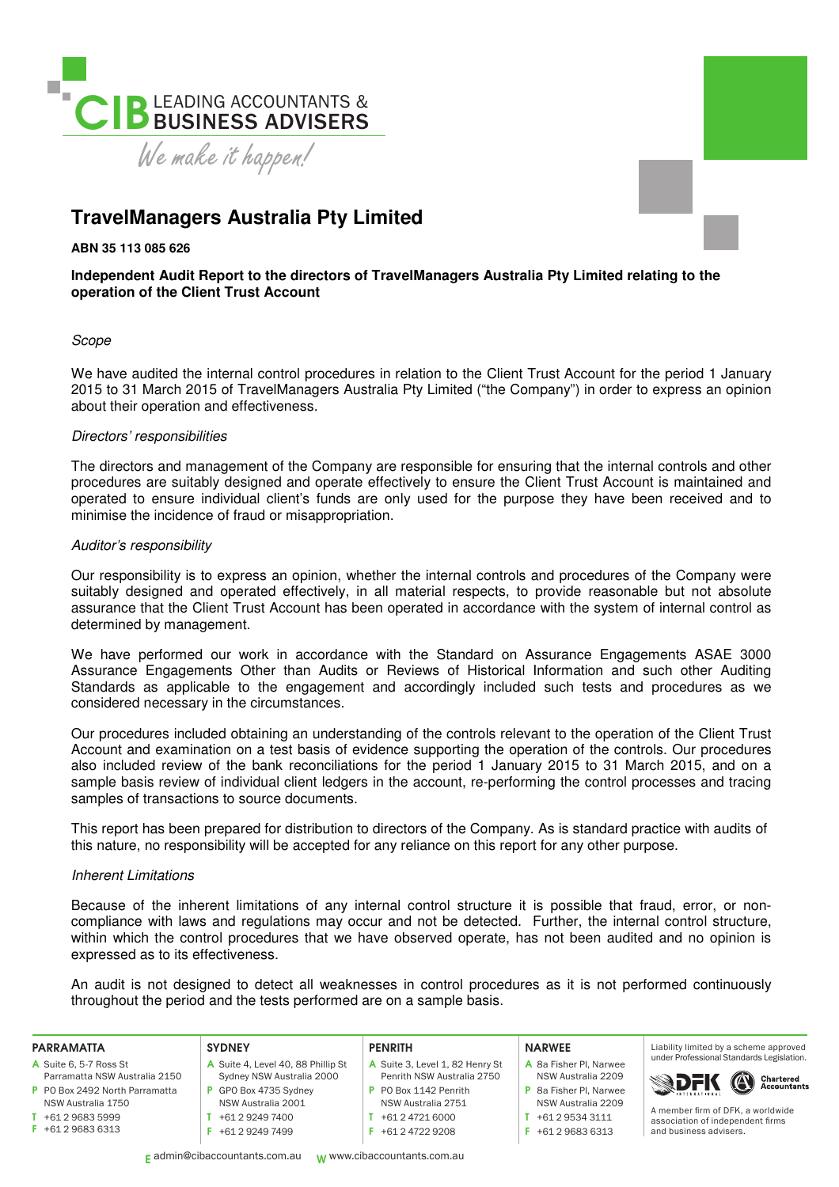

# **TravelManagers Australia Pty Limited**

**ABN 35 113 085 626** 

## **Independent Audit Report to the directors of TravelManagers Australia Pty Limited relating to the operation of the Client Trust Account**

## Scope

We have audited the internal control procedures in relation to the Client Trust Account for the period 1 January 2015 to 31 March 2015 of TravelManagers Australia Pty Limited ("the Company") in order to express an opinion about their operation and effectiveness.

## Directors' responsibilities

The directors and management of the Company are responsible for ensuring that the internal controls and other procedures are suitably designed and operate effectively to ensure the Client Trust Account is maintained and operated to ensure individual client's funds are only used for the purpose they have been received and to minimise the incidence of fraud or misappropriation.

## Auditor's responsibility

Our responsibility is to express an opinion, whether the internal controls and procedures of the Company were suitably designed and operated effectively, in all material respects, to provide reasonable but not absolute assurance that the Client Trust Account has been operated in accordance with the system of internal control as determined by management.

We have performed our work in accordance with the Standard on Assurance Engagements ASAE 3000 Assurance Engagements Other than Audits or Reviews of Historical Information and such other Auditing Standards as applicable to the engagement and accordingly included such tests and procedures as we considered necessary in the circumstances.

Our procedures included obtaining an understanding of the controls relevant to the operation of the Client Trust Account and examination on a test basis of evidence supporting the operation of the controls. Our procedures also included review of the bank reconciliations for the period 1 January 2015 to 31 March 2015, and on a sample basis review of individual client ledgers in the account, re-performing the control processes and tracing samples of transactions to source documents.

This report has been prepared for distribution to directors of the Company. As is standard practice with audits of this nature, no responsibility will be accepted for any reliance on this report for any other purpose.

## Inherent Limitations

Because of the inherent limitations of any internal control structure it is possible that fraud, error, or noncompliance with laws and regulations may occur and not be detected. Further, the internal control structure, within which the control procedures that we have observed operate, has not been audited and no opinion is expressed as to its effectiveness.

An audit is not designed to detect all weaknesses in control procedures as it is not performed continuously throughout the period and the tests performed are on a sample basis.

### PARRAMATTA

- A Suite 6, 5-7 Ross St Parramatta NSW Australia 2150
- P PO Box 2492 North Parramatta
- NSW Australia 1750 T +61 2 9683 5999
- F +61 2 9683 6313

#### **SYDNEY** A Suite 4, Level 40, 88 Phillip St Sydney NSW Australia 2000 P GPO Box 4735 Sydney NSW Australia 2001

T +61 2 9249 7400 F +61 2 9249 7499

## **PENRITH**

- A Suite 3, Level 1, 82 Henry St Penrith NSW Australia 2750 P PO Box 1142 Penrith
- NSW Australia 2751
- T +61 2 4721 6000
- F +61 2 4722 9208

#### NARWEE

- A 8a Fisher Pl, Narwee NSW Australia 2209 P 8a Fisher Pl, Narwee NSW Australia 2209
- $T + 61 2 9534 3111$
- F +61 2 9683 6313

Liability limited by a scheme approved under Professional Standards Legislation.



A member irm of DFK, a worldwide association of independent firms and business advisers.